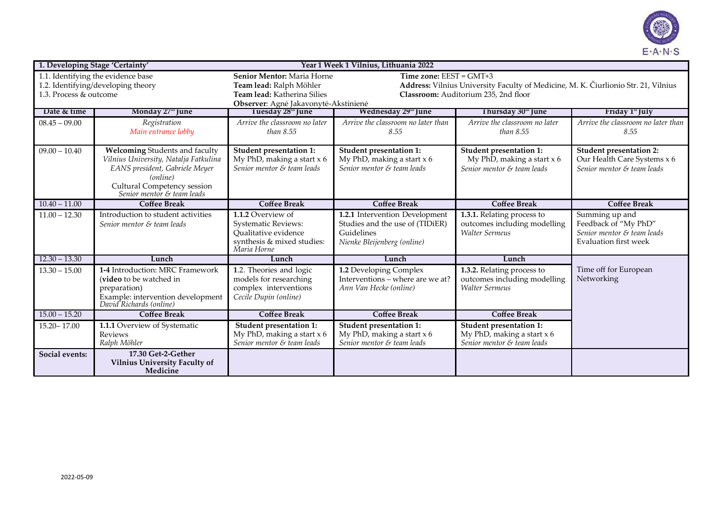

| 1. Developing Stage 'Certainty'                                          |                                                                                                                                                                                    |                                                                                                                      | Year 1 Week 1 Vilnius, Lithuania 2022                                                                           |                                                                                       |                                                                                                      |  |  |
|--------------------------------------------------------------------------|------------------------------------------------------------------------------------------------------------------------------------------------------------------------------------|----------------------------------------------------------------------------------------------------------------------|-----------------------------------------------------------------------------------------------------------------|---------------------------------------------------------------------------------------|------------------------------------------------------------------------------------------------------|--|--|
| 1.1. Identifying the evidence base<br>1.2. Identifying/developing theory |                                                                                                                                                                                    | Senior Mentor: Maria Horne<br>Team lead: Ralph Möhler                                                                | Time zone: $EEST = GMT+3$<br>Address: Vilnius University Faculty of Medicine, M. K. Čiurlionio Str. 21, Vilnius |                                                                                       |                                                                                                      |  |  |
| 1.3. Process & outcome                                                   |                                                                                                                                                                                    | Team lead: Katherina Silies                                                                                          | Classroom: Auditorium 235, 2nd floor                                                                            |                                                                                       |                                                                                                      |  |  |
|                                                                          |                                                                                                                                                                                    | Observer: Agnė Jakavonytė-Akstinienė                                                                                 |                                                                                                                 |                                                                                       |                                                                                                      |  |  |
| Date & time                                                              | Monday 27th June                                                                                                                                                                   | Tuesday 28th June                                                                                                    | Wednesday 29 <sup>m</sup> June                                                                                  | Thursday 30th June                                                                    | Friday 1 <sup>st</sup> July                                                                          |  |  |
| $08.45 - 09.00$                                                          | Registration<br>Main entrance lobby                                                                                                                                                | Arrive the classroom no later<br>than $8.55$                                                                         | Arrive the classroom no later than<br>8.55                                                                      | Arrive the classroom no later<br>than $8.55$                                          | Arrive the classroom no later than<br>8.55                                                           |  |  |
| $09.00 - 10.40$                                                          | Welcoming Students and faculty<br>Vilnius University, Natalja Fatkulina<br>EANS president, Gabriele Meyer<br>(online)<br>Cultural Competency session<br>Senior mentor & team leads | Student presentation 1:<br>My PhD, making a start $x$ 6<br>Senior mentor & team leads                                | <b>Student presentation 1:</b><br>My PhD, making a start $x$ 6<br>Senior mentor & team leads                    | Student presentation 1:<br>My PhD, making a start $x$ 6<br>Senior mentor & team leads | <b>Student presentation 2:</b><br>Our Health Care Systems x 6<br>Senior mentor & team leads          |  |  |
| $10.40 - 11.00$                                                          | <b>Coffee Break</b>                                                                                                                                                                | <b>Coffee Break</b>                                                                                                  | <b>Coffee Break</b>                                                                                             | <b>Coffee Break</b>                                                                   | <b>Coffee Break</b>                                                                                  |  |  |
| $11.00 - 12.30$                                                          | Introduction to student activities<br>Senior mentor & team leads                                                                                                                   | 1.1.2 Overview of<br><b>Systematic Reviews:</b><br>Qualitative evidence<br>synthesis & mixed studies:<br>Maria Horne | 1.2.1 Intervention Development<br>Studies and the use of (TIDiER)<br>Guidelines<br>Nienke Bleijenberg (online)  | 1.3.1. Relating process to<br>outcomes including modelling<br><b>Walter Sermeus</b>   | Summing up and<br>Feedback of "My PhD"<br>Senior mentor & team leads<br><b>Evaluation first week</b> |  |  |
| $12.30 - 13.30$                                                          | Lunch                                                                                                                                                                              | Lunch                                                                                                                | Lunch                                                                                                           | Lunch                                                                                 |                                                                                                      |  |  |
| $13.30 - 15.00$                                                          | 1-4 Introduction: MRC Framework<br>(video to be watched in<br>preparation)<br>Example: intervention development<br>David Richards (online)                                         | 1.2. Theories and logic<br>models for researching<br>complex interventions<br>Cecile Dupin (online)                  | 1.2 Developing Complex<br>Interventions - where are we at?<br>Ann Van Hecke (online)                            | 1.3.2. Relating process to<br>outcomes including modelling<br><b>Walter Sermeus</b>   | Time off for European<br>Networking                                                                  |  |  |
| $15.00 - 15.20$                                                          | <b>Coffee Break</b>                                                                                                                                                                | <b>Coffee Break</b>                                                                                                  | <b>Coffee Break</b>                                                                                             | <b>Coffee Break</b>                                                                   |                                                                                                      |  |  |
| $15.20 - 17.00$                                                          | 1.1.1 Overview of Systematic<br>Reviews<br>Ralph Möhler                                                                                                                            | Student presentation 1:<br>My PhD, making a start $x$ 6<br>Senior mentor & team leads                                | <b>Student presentation 1:</b><br>My PhD, making a start $x$ 6<br>Senior mentor & team leads                    | Student presentation 1:<br>My PhD, making a start $x$ 6<br>Senior mentor & team leads |                                                                                                      |  |  |
| Social events:                                                           | 17.30 Get-2-Gether<br><b>Vilnius University Faculty of</b><br>Medicine                                                                                                             |                                                                                                                      |                                                                                                                 |                                                                                       |                                                                                                      |  |  |